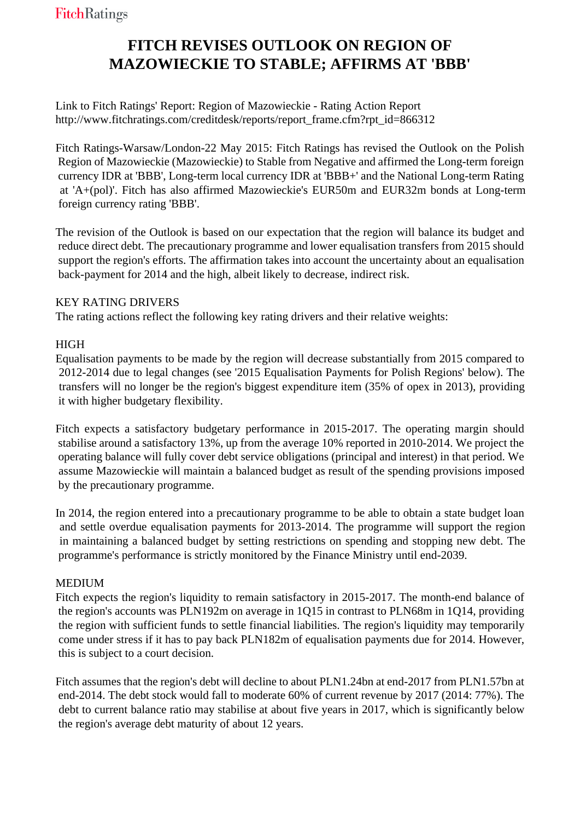# **FITCH REVISES OUTLOOK ON REGION OF MAZOWIECKIE TO STABLE; AFFIRMS AT 'BBB'**

Link to Fitch Ratings' Report: Region of Mazowieckie - Rating Action Report http://www.fitchratings.com/creditdesk/reports/report\_frame.cfm?rpt\_id=866312

Fitch Ratings-Warsaw/London-22 May 2015: Fitch Ratings has revised the Outlook on the Polish Region of Mazowieckie (Mazowieckie) to Stable from Negative and affirmed the Long-term foreign currency IDR at 'BBB', Long-term local currency IDR at 'BBB+' and the National Long-term Rating at 'A+(pol)'. Fitch has also affirmed Mazowieckie's EUR50m and EUR32m bonds at Long-term foreign currency rating 'BBB'.

The revision of the Outlook is based on our expectation that the region will balance its budget and reduce direct debt. The precautionary programme and lower equalisation transfers from 2015 should support the region's efforts. The affirmation takes into account the uncertainty about an equalisation back-payment for 2014 and the high, albeit likely to decrease, indirect risk.

# KEY RATING DRIVERS

The rating actions reflect the following key rating drivers and their relative weights:

## HIGH

Equalisation payments to be made by the region will decrease substantially from 2015 compared to 2012-2014 due to legal changes (see '2015 Equalisation Payments for Polish Regions' below). The transfers will no longer be the region's biggest expenditure item (35% of opex in 2013), providing it with higher budgetary flexibility.

Fitch expects a satisfactory budgetary performance in 2015-2017. The operating margin should stabilise around a satisfactory 13%, up from the average 10% reported in 2010-2014. We project the operating balance will fully cover debt service obligations (principal and interest) in that period. We assume Mazowieckie will maintain a balanced budget as result of the spending provisions imposed by the precautionary programme.

In 2014, the region entered into a precautionary programme to be able to obtain a state budget loan and settle overdue equalisation payments for 2013-2014. The programme will support the region in maintaining a balanced budget by setting restrictions on spending and stopping new debt. The programme's performance is strictly monitored by the Finance Ministry until end-2039.

### **MEDIUM**

Fitch expects the region's liquidity to remain satisfactory in 2015-2017. The month-end balance of the region's accounts was PLN192m on average in 1Q15 in contrast to PLN68m in 1Q14, providing the region with sufficient funds to settle financial liabilities. The region's liquidity may temporarily come under stress if it has to pay back PLN182m of equalisation payments due for 2014. However, this is subject to a court decision.

Fitch assumes that the region's debt will decline to about PLN1.24bn at end-2017 from PLN1.57bn at end-2014. The debt stock would fall to moderate 60% of current revenue by 2017 (2014: 77%). The debt to current balance ratio may stabilise at about five years in 2017, which is significantly below the region's average debt maturity of about 12 years.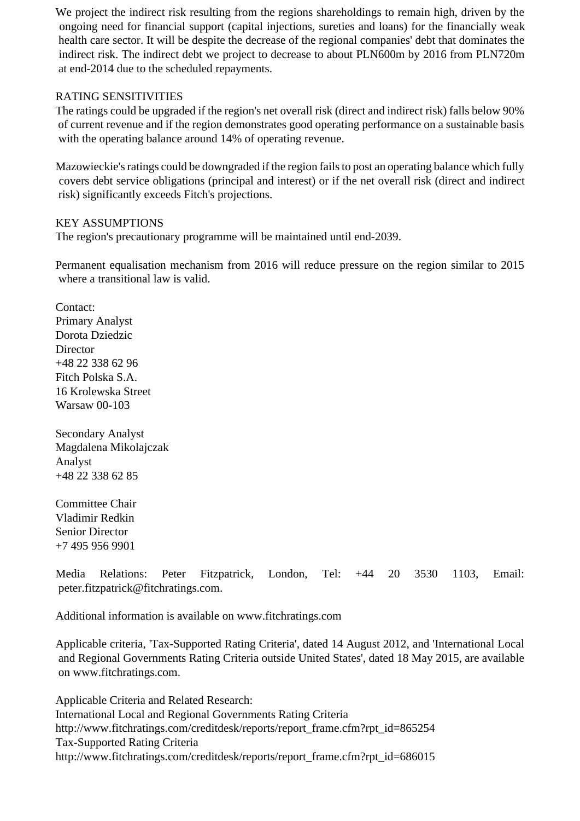We project the indirect risk resulting from the regions shareholdings to remain high, driven by the ongoing need for financial support (capital injections, sureties and loans) for the financially weak health care sector. It will be despite the decrease of the regional companies' debt that dominates the indirect risk. The indirect debt we project to decrease to about PLN600m by 2016 from PLN720m at end-2014 due to the scheduled repayments.

#### RATING SENSITIVITIES

The ratings could be upgraded if the region's net overall risk (direct and indirect risk) falls below 90% of current revenue and if the region demonstrates good operating performance on a sustainable basis with the operating balance around 14% of operating revenue.

Mazowieckie's ratings could be downgraded if the region fails to post an operating balance which fully covers debt service obligations (principal and interest) or if the net overall risk (direct and indirect risk) significantly exceeds Fitch's projections.

#### KEY ASSUMPTIONS

The region's precautionary programme will be maintained until end-2039.

Permanent equalisation mechanism from 2016 will reduce pressure on the region similar to 2015 where a transitional law is valid.

Contact: Primary Analyst Dorota Dziedzic Director +48 22 338 62 96 Fitch Polska S.A. 16 Krolewska Street Warsaw 00-103

Secondary Analyst Magdalena Mikolajczak Analyst +48 22 338 62 85

Committee Chair Vladimir Redkin Senior Director +7 495 956 9901

Media Relations: Peter Fitzpatrick, London, Tel: +44 20 3530 1103, Email: peter.fitzpatrick@fitchratings.com.

Additional information is available on www.fitchratings.com

Applicable criteria, 'Tax-Supported Rating Criteria', dated 14 August 2012, and 'International Local and Regional Governments Rating Criteria outside United States', dated 18 May 2015, are available on www.fitchratings.com.

Applicable Criteria and Related Research: International Local and Regional Governments Rating Criteria http://www.fitchratings.com/creditdesk/reports/report\_frame.cfm?rpt\_id=865254 Tax-Supported Rating Criteria http://www.fitchratings.com/creditdesk/reports/report\_frame.cfm?rpt\_id=686015